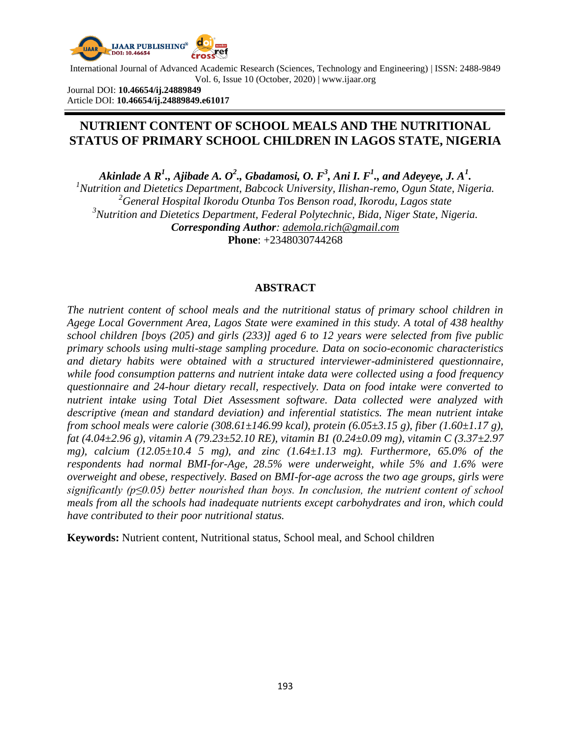

Journal DOI: **10.46654/ij.24889849** Article DOI: **10.46654/ij.24889849.e61017**

# **NUTRIENT CONTENT OF SCHOOL MEALS AND THE NUTRITIONAL STATUS OF PRIMARY SCHOOL CHILDREN IN LAGOS STATE, NIGERIA**

 $A$ kinlade  $A$   $\mathcal{R}^1$ .,  $A$ jibade  $A$ .  $O^2$ .,  $G$ badamosi,  $O$ .  $F^3$ ,  $A$ ni  $I$ .  $F^1$ ., and  $A$ deyeye,  $J$ .  $A^1$ .

*<sup>1</sup>Nutrition and Dietetics Department, Babcock University, Ilishan-remo, Ogun State, Nigeria. <sup>2</sup>General Hospital Ikorodu Otunba Tos Benson road, Ikorodu, Lagos state <sup>3</sup>Nutrition and Dietetics Department, Federal Polytechnic, Bida, Niger State, Nigeria. Corresponding Author: [ademola.rich@gmail.com](mailto:ademola.rich@gmail.com)* **Phone**: +2348030744268

### **ABSTRACT**

*The nutrient content of school meals and the nutritional status of primary school children in Agege Local Government Area, Lagos State were examined in this study. A total of 438 healthy school children [boys (205) and girls (233)] aged 6 to 12 years were selected from five public primary schools using multi-stage sampling procedure. Data on socio-economic characteristics and dietary habits were obtained with a structured interviewer-administered questionnaire, while food consumption patterns and nutrient intake data were collected using a food frequency questionnaire and 24-hour dietary recall, respectively. Data on food intake were converted to nutrient intake using Total Diet Assessment software. Data collected were analyzed with descriptive (mean and standard deviation) and inferential statistics. The mean nutrient intake from school meals were calorie (308.61±146.99 kcal), protein (6.05±3.15 g), fiber (1.60±1.17 g), fat (4.04±2.96 g), vitamin A (79.23±52.10 RE), vitamin B1 (0.24±0.09 mg), vitamin C (3.37±2.97 mg), calcium (12.05* $\pm$ *10.4 5 mg), and zinc (1.64* $\pm$ *1.13 mg). Furthermore, 65.0% of the respondents had normal BMI-for-Age, 28.5% were underweight, while 5% and 1.6% were overweight and obese, respectively. Based on BMI-for-age across the two age groups, girls were significantly (p≤0.05) better nourished than boys. In conclusion, the nutrient content of school meals from all the schools had inadequate nutrients except carbohydrates and iron, which could have contributed to their poor nutritional status.* 

**Keywords:** Nutrient content, Nutritional status, School meal, and School children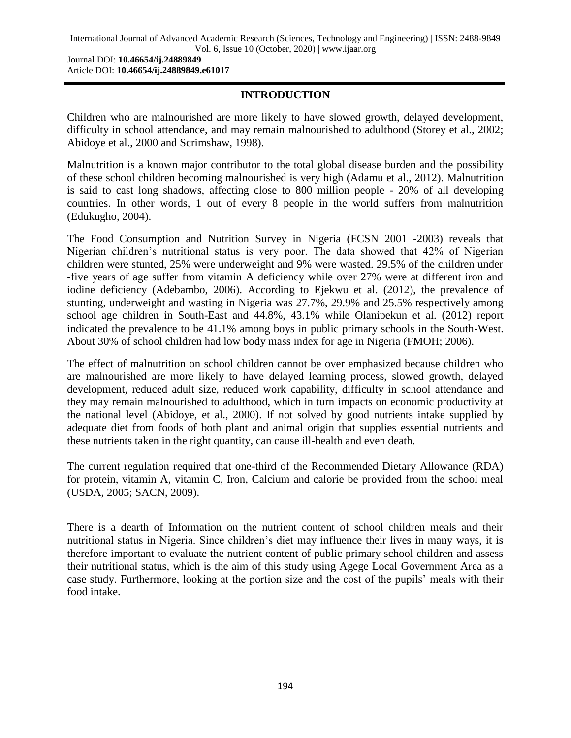Journal DOI: **10.46654/ij.24889849** Article DOI: **10.46654/ij.24889849.e61017**

# **INTRODUCTION**

Children who are malnourished are more likely to have slowed growth, delayed development, difficulty in school attendance, and may remain malnourished to adulthood (Storey et al., 2002; Abidoye et al., 2000 and Scrimshaw, 1998).

Malnutrition is a known major contributor to the total global disease burden and the possibility of these school children becoming malnourished is very high (Adamu et al., 2012). Malnutrition is said to cast long shadows, affecting close to 800 million people - 20% of all developing countries. In other words, 1 out of every 8 people in the world suffers from malnutrition (Edukugho, 2004).

The Food Consumption and Nutrition Survey in Nigeria (FCSN 2001 -2003) reveals that Nigerian children's nutritional status is very poor. The data showed that 42% of Nigerian children were stunted, 25% were underweight and 9% were wasted. 29.5% of the children under -five years of age suffer from vitamin A deficiency while over 27% were at different iron and iodine deficiency (Adebambo, 2006). According to Ejekwu et al. (2012), the prevalence of stunting, underweight and wasting in Nigeria was 27.7%, 29.9% and 25.5% respectively among school age children in South-East and 44.8%, 43.1% while Olanipekun et al. (2012) report indicated the prevalence to be 41.1% among boys in public primary schools in the South-West. About 30% of school children had low body mass index for age in Nigeria (FMOH; 2006).

The effect of malnutrition on school children cannot be over emphasized because children who are malnourished are more likely to have delayed learning process, slowed growth, delayed development, reduced adult size, reduced work capability, difficulty in school attendance and they may remain malnourished to adulthood, which in turn impacts on economic productivity at the national level (Abidoye, et al., 2000). If not solved by good nutrients intake supplied by adequate diet from foods of both plant and animal origin that supplies essential nutrients and these nutrients taken in the right quantity, can cause ill-health and even death.

The current regulation required that one-third of the Recommended Dietary Allowance (RDA) for protein, vitamin A, vitamin C, Iron, Calcium and calorie be provided from the school meal (USDA, 2005; SACN, 2009).

There is a dearth of Information on the nutrient content of school children meals and their nutritional status in Nigeria. Since children's diet may influence their lives in many ways, it is therefore important to evaluate the nutrient content of public primary school children and assess their nutritional status, which is the aim of this study using Agege Local Government Area as a case study. Furthermore, looking at the portion size and the cost of the pupils' meals with their food intake.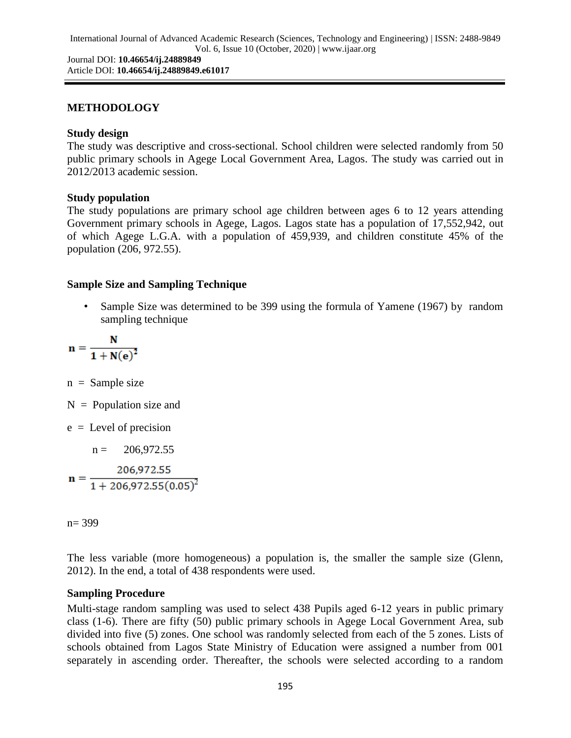# **METHODOLOGY**

## **Study design**

The study was descriptive and cross-sectional. School children were selected randomly from 50 public primary schools in Agege Local Government Area, Lagos. The study was carried out in 2012/2013 academic session.

# **Study population**

The study populations are primary school age children between ages 6 to 12 years attending Government primary schools in Agege, Lagos. Lagos state has a population of 17,552,942, out of which Agege L.G.A. with a population of 459,939, and children constitute 45% of the population (206, 972.55).

# **Sample Size and Sampling Technique**

Sample Size was determined to be 399 using the formula of Yamene (1967) by random sampling technique

$$
n=\frac{N}{1+N(\mathbf{e})^2}
$$

 $n =$  Sample size

- $N =$  Population size and
- e = Level of precision

 $n = 206,972.55$  $n = \frac{206,972.55}{1 + 206,972.55(0.05)^2}$ 

n= 399

The less variable (more homogeneous) a population is, the smaller the sample size (Glenn, 2012). In the end, a total of 438 respondents were used.

### **Sampling Procedure**

Multi-stage random sampling was used to select 438 Pupils aged 6-12 years in public primary class (1-6). There are fifty (50) public primary schools in Agege Local Government Area, sub divided into five (5) zones. One school was randomly selected from each of the 5 zones. Lists of schools obtained from Lagos State Ministry of Education were assigned a number from 001 separately in ascending order. Thereafter, the schools were selected according to a random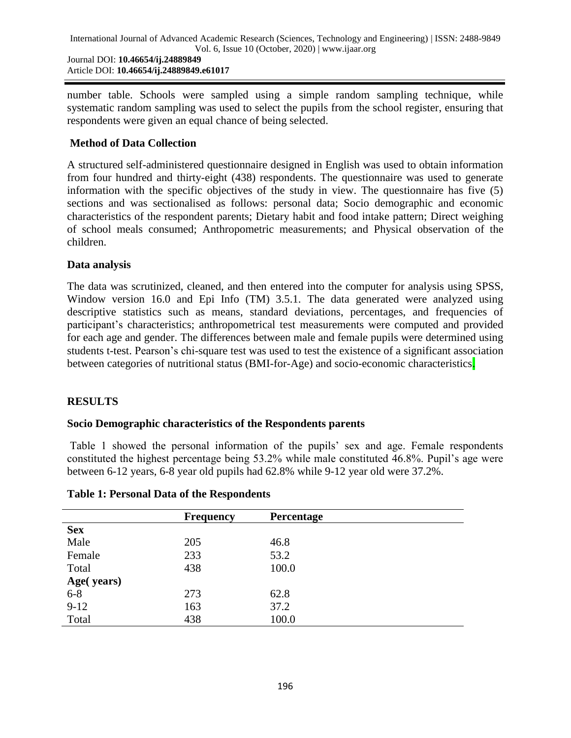number table. Schools were sampled using a simple random sampling technique, while systematic random sampling was used to select the pupils from the school register, ensuring that respondents were given an equal chance of being selected.

# **Method of Data Collection**

A structured self-administered questionnaire designed in English was used to obtain information from four hundred and thirty-eight (438) respondents. The questionnaire was used to generate information with the specific objectives of the study in view. The questionnaire has five (5) sections and was sectionalised as follows: personal data; Socio demographic and economic characteristics of the respondent parents; Dietary habit and food intake pattern; Direct weighing of school meals consumed; Anthropometric measurements; and Physical observation of the children.

# **Data analysis**

The data was scrutinized, cleaned, and then entered into the computer for analysis using SPSS, Window version 16.0 and Epi Info (TM) 3.5.1. The data generated were analyzed using descriptive statistics such as means, standard deviations, percentages, and frequencies of participant's characteristics; anthropometrical test measurements were computed and provided for each age and gender. The differences between male and female pupils were determined using students t-test. Pearson's chi-square test was used to test the existence of a significant association between categories of nutritional status (BMI-for-Age) and socio-economic characteristics.

# **RESULTS**

### **Socio Demographic characteristics of the Respondents parents**

Table 1 showed the personal information of the pupils' sex and age. Female respondents constituted the highest percentage being 53.2% while male constituted 46.8%. Pupil's age were between 6-12 years, 6-8 year old pupils had 62.8% while 9-12 year old were 37.2%.

|            | <b>Frequency</b> | <b>Percentage</b> |  |
|------------|------------------|-------------------|--|
| <b>Sex</b> |                  |                   |  |
| Male       | 205              | 46.8              |  |
| Female     | 233              | 53.2              |  |
| Total      | 438              | 100.0             |  |
| Age(years) |                  |                   |  |
| $6 - 8$    | 273              | 62.8              |  |
| $9-12$     | 163              | 37.2              |  |
| Total      | 438              | 100.0             |  |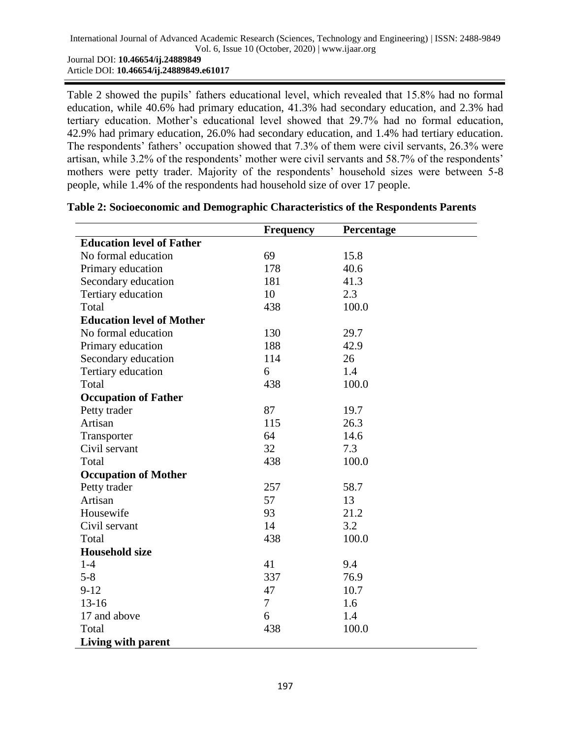Table 2 showed the pupils' fathers educational level, which revealed that 15.8% had no formal education, while 40.6% had primary education, 41.3% had secondary education, and 2.3% had tertiary education. Mother's educational level showed that 29.7% had no formal education, 42.9% had primary education, 26.0% had secondary education, and 1.4% had tertiary education. The respondents' fathers' occupation showed that 7.3% of them were civil servants, 26.3% were artisan, while 3.2% of the respondents' mother were civil servants and 58.7% of the respondents' mothers were petty trader. Majority of the respondents' household sizes were between 5-8 people, while 1.4% of the respondents had household size of over 17 people.

|                                  | <b>Frequency</b> | Percentage |
|----------------------------------|------------------|------------|
| <b>Education level of Father</b> |                  |            |
| No formal education              | 69               | 15.8       |
| Primary education                | 178              | 40.6       |
| Secondary education              | 181              | 41.3       |
| Tertiary education               | 10               | 2.3        |
| Total                            | 438              | 100.0      |
| <b>Education level of Mother</b> |                  |            |
| No formal education              | 130              | 29.7       |
| Primary education                | 188              | 42.9       |
| Secondary education              | 114              | 26         |
| Tertiary education               | 6                | 1.4        |
| Total                            | 438              | 100.0      |
| <b>Occupation of Father</b>      |                  |            |
| Petty trader                     | 87               | 19.7       |
| Artisan                          | 115              | 26.3       |
| Transporter                      | 64               | 14.6       |
| Civil servant                    | 32               | 7.3        |
| Total                            | 438              | 100.0      |
| <b>Occupation of Mother</b>      |                  |            |
| Petty trader                     | 257              | 58.7       |
| Artisan                          | 57               | 13         |
| Housewife                        | 93               | 21.2       |
| Civil servant                    | 14               | 3.2        |
| Total                            | 438              | 100.0      |
| <b>Household size</b>            |                  |            |
| $1-4$                            | 41               | 9.4        |
| $5 - 8$                          | 337              | 76.9       |
| $9 - 12$                         | 47               | 10.7       |
| $13 - 16$                        | $\overline{7}$   | 1.6        |
| 17 and above                     | 6                | 1.4        |
| Total                            | 438              | 100.0      |
| Living with parent               |                  |            |

### **Table 2: Socioeconomic and Demographic Characteristics of the Respondents Parents**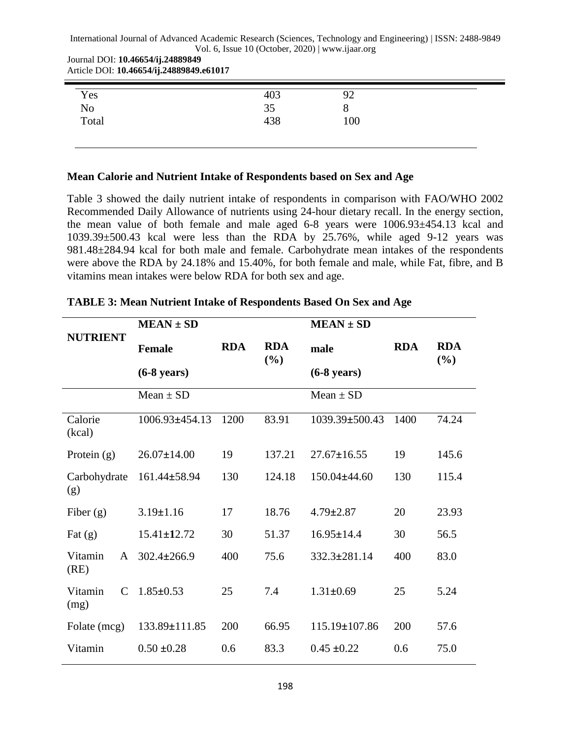Journal DOI: **10.46654/ij.24889849** Article DOI: **10.46654/ij.24889849.e61017**

|                    | 403       | 92  |  |
|--------------------|-----------|-----|--|
| Yes<br>No<br>Total |           | v   |  |
|                    | 35<br>438 | 100 |  |

#### **Mean Calorie and Nutrient Intake of Respondents based on Sex and Age**

Table 3 showed the daily nutrient intake of respondents in comparison with FAO/WHO 2002 Recommended Daily Allowance of nutrients using 24-hour dietary recall. In the energy section, the mean value of both female and male aged 6-8 years were 1006.93±454.13 kcal and 1039.39±500.43 kcal were less than the RDA by 25.76%, while aged 9-12 years was 981.48±284.94 kcal for both male and female. Carbohydrate mean intakes of the respondents were above the RDA by 24.18% and 15.40%, for both female and male, while Fat, fibre, and B vitamins mean intakes were below RDA for both sex and age.

|                                  | $MEAN \pm SD$         |            |                   | $MEAN \pm SD$         |            |                   |
|----------------------------------|-----------------------|------------|-------------------|-----------------------|------------|-------------------|
| <b>NUTRIENT</b>                  | <b>Female</b>         | <b>RDA</b> | <b>RDA</b><br>(%) | male                  | <b>RDA</b> | <b>RDA</b><br>(%) |
|                                  | $(6-8 \text{ years})$ |            |                   | $(6-8 \text{ years})$ |            |                   |
|                                  | Mean $\pm$ SD         |            |                   | Mean $\pm$ SD         |            |                   |
| Calorie<br>(kcal)                | 1006.93±454.13        | 1200       | 83.91             | 1039.39±500.43        | 1400       | 74.24             |
| Protein $(g)$                    | $26.07 \pm 14.00$     | 19         | 137.21            | $27.67 \pm 16.55$     | 19         | 145.6             |
| Carbohydrate<br>(g)              | $161.44 \pm 58.94$    | 130        | 124.18            | $150.04\pm44.60$      | 130        | 115.4             |
| Fiber $(g)$                      | $3.19 \pm 1.16$       | 17         | 18.76             | $4.79 \pm 2.87$       | 20         | 23.93             |
| Fat $(g)$                        | $15.41 \pm 12.72$     | 30         | 51.37             | $16.95 \pm 14.4$      | 30         | 56.5              |
| Vitamin<br>$\mathsf{A}$<br>(RE)  | $302.4 \pm 266.9$     | 400        | 75.6              | $332.3 \pm 281.14$    | 400        | 83.0              |
| Vitamin<br>$\mathcal{C}$<br>(mg) | $1.85 \pm 0.53$       | 25         | 7.4               | $1.31 \pm 0.69$       | 25         | 5.24              |
| Folate (mcg)                     | 133.89±111.85         | 200        | 66.95             | 115.19±107.86         | 200        | 57.6              |
| Vitamin                          | $0.50 \pm 0.28$       | 0.6        | 83.3              | $0.45 \pm 0.22$       | 0.6        | 75.0              |

| TABLE 3: Mean Nutrient Intake of Respondents Based On Sex and Age |  |  |  |
|-------------------------------------------------------------------|--|--|--|
|                                                                   |  |  |  |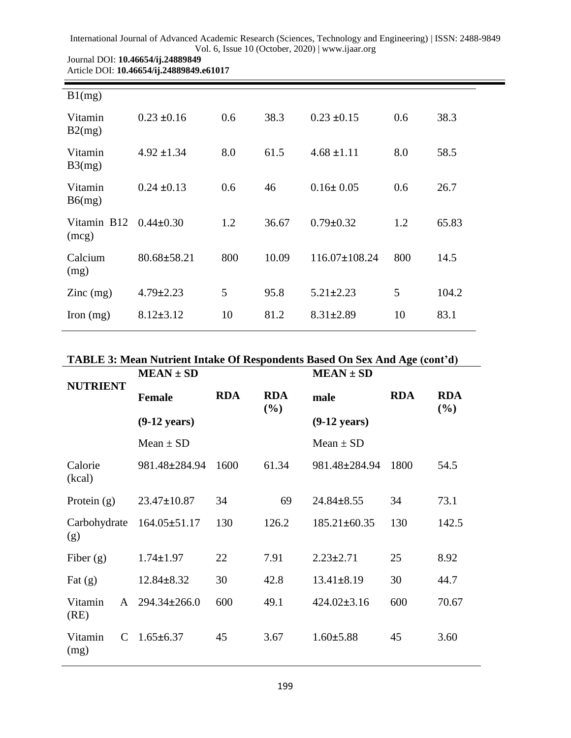| B1(mg)                     |                   |     |       |                     |     |       |
|----------------------------|-------------------|-----|-------|---------------------|-----|-------|
| Vitamin<br>B2(mg)          | $0.23 \pm 0.16$   | 0.6 | 38.3  | $0.23 \pm 0.15$     | 0.6 | 38.3  |
| Vitamin<br>B3(mg)          | $4.92 \pm 1.34$   | 8.0 | 61.5  | $4.68 \pm 1.11$     | 8.0 | 58.5  |
| Vitamin<br>B6(mg)          | $0.24 \pm 0.13$   | 0.6 | 46    | $0.16 \pm 0.05$     | 0.6 | 26.7  |
| Vitamin B12<br>(mcg)       | $0.44 \pm 0.30$   | 1.2 | 36.67 | $0.79 \pm 0.32$     | 1.2 | 65.83 |
| Calcium<br>(mg)            | $80.68 \pm 58.21$ | 800 | 10.09 | $116.07 \pm 108.24$ | 800 | 14.5  |
| $\text{Zinc} \text{ (mg)}$ | $4.79 \pm 2.23$   | 5   | 95.8  | $5.21 \pm 2.23$     | 5   | 104.2 |
| Iron $(mg)$                | $8.12 \pm 3.12$   | 10  | 81.2  | $8.31 \pm 2.89$     | 10  | 83.1  |

#### Journal DOI: **10.46654/ij.24889849** Article DOI: **10.46654/ij.24889849.e61017**

# **TABLE 3: Mean Nutrient Intake Of Respondents Based On Sex And Age (cont'd)**

|                     |              |                        |            |                   | TADLE 3. Mean Nutrient miake Of Respondents Dased On Sex And Age (Com u) |            |                      |
|---------------------|--------------|------------------------|------------|-------------------|--------------------------------------------------------------------------|------------|----------------------|
|                     |              | $MEAN \pm SD$          |            |                   | $MEAN \pm SD$                                                            |            |                      |
| <b>NUTRIENT</b>     |              | <b>Female</b>          | <b>RDA</b> | <b>RDA</b><br>(%) | male                                                                     | <b>RDA</b> | <b>RDA</b><br>$(\%)$ |
|                     |              | $(9-12 \text{ years})$ |            |                   | $(9-12 \text{ years})$                                                   |            |                      |
|                     |              | Mean $\pm$ SD          |            |                   | Mean $\pm$ SD                                                            |            |                      |
| Calorie<br>(kcal)   |              | 981.48±284.94          | 1600       | 61.34             | 981.48±284.94                                                            | 1800       | 54.5                 |
| Protein $(g)$       |              | $23.47 \pm 10.87$      | 34         | 69                | $24.84 \pm 8.55$                                                         | 34         | 73.1                 |
| Carbohydrate<br>(g) |              | $164.05 \pm 51.17$     | 130        | 126.2             | $185.21 \pm 60.35$                                                       | 130        | 142.5                |
| Fiber $(g)$         |              | $1.74 \pm 1.97$        | 22         | 7.91              | $2.23 \pm 2.71$                                                          | 25         | 8.92                 |
| Fat $(g)$           |              | $12.84 \pm 8.32$       | 30         | 42.8              | $13.41 \pm 8.19$                                                         | 30         | 44.7                 |
| Vitamin<br>(RE)     | $\mathsf{A}$ | $294.34 \pm 266.0$     | 600        | 49.1              | $424.02 \pm 3.16$                                                        | 600        | 70.67                |
| Vitamin<br>(mg)     | $\mathsf{C}$ | $1.65 \pm 6.37$        | 45         | 3.67              | $1.60 \pm 5.88$                                                          | 45         | 3.60                 |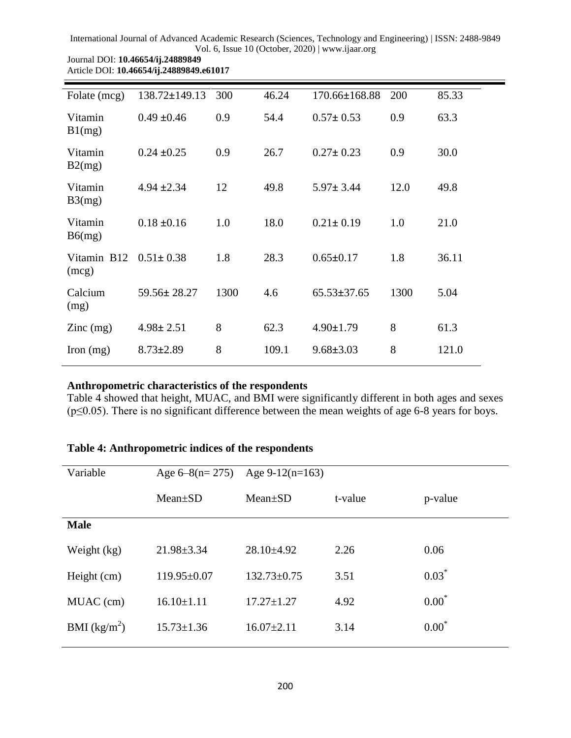| Folate (mcg)                           | $138.72 \pm 149.13$ | 300  | 46.24 | 170.66±168.88     | 200  | 85.33 |
|----------------------------------------|---------------------|------|-------|-------------------|------|-------|
| Vitamin<br>B1(mg)                      | $0.49 \pm 0.46$     | 0.9  | 54.4  | $0.57 \pm 0.53$   | 0.9  | 63.3  |
| Vitamin<br>B2(mg)                      | $0.24 \pm 0.25$     | 0.9  | 26.7  | $0.27 \pm 0.23$   | 0.9  | 30.0  |
| Vitamin<br>B3(mg)                      | $4.94 \pm 2.34$     | 12   | 49.8  | $5.97 \pm 3.44$   | 12.0 | 49.8  |
| Vitamin<br>B6(mg)                      | $0.18 \pm 0.16$     | 1.0  | 18.0  | $0.21 \pm 0.19$   | 1.0  | 21.0  |
| Vitamin B12<br>(mcg)                   | $0.51 \pm 0.38$     | 1.8  | 28.3  | $0.65 \pm 0.17$   | 1.8  | 36.11 |
| Calcium<br>(mg)                        | $59.56 \pm 28.27$   | 1300 | 4.6   | $65.53 \pm 37.65$ | 1300 | 5.04  |
| $\text{Zinc} \left( \text{mg} \right)$ | $4.98 \pm 2.51$     | 8    | 62.3  | $4.90 \pm 1.79$   | 8    | 61.3  |
| Iron $(mg)$                            | $8.73 \pm 2.89$     | 8    | 109.1 | $9.68 \pm 3.03$   | 8    | 121.0 |

#### Journal DOI: **10.46654/ij.24889849** Article DOI: **10.46654/ij.24889849.e61017**

# **Anthropometric characteristics of the respondents**

Table 4 showed that height, MUAC, and BMI were significantly different in both ages and sexes (p≤0.05). There is no significant difference between the mean weights of age 6-8 years for boys.

# **Table 4: Anthropometric indices of the respondents**

| Variable       | Age $6-8(n=275)$  | Age $9-12(n=163)$ |         |         |
|----------------|-------------------|-------------------|---------|---------|
|                | $Mean \pm SD$     | $Mean \pm SD$     | t-value | p-value |
| <b>Male</b>    |                   |                   |         |         |
| Weight (kg)    | $21.98 \pm 3.34$  | $28.10\pm4.92$    | 2.26    | 0.06    |
| Height (cm)    | $119.95 \pm 0.07$ | $132.73 \pm 0.75$ | 3.51    | $0.03*$ |
| MUAC (cm)      | $16.10 \pm 1.11$  | $17.27 \pm 1.27$  | 4.92    | $0.00*$ |
| BMI $(kg/m^2)$ | $15.73 \pm 1.36$  | $16.07 \pm 2.11$  | 3.14    | $0.00*$ |
|                |                   |                   |         |         |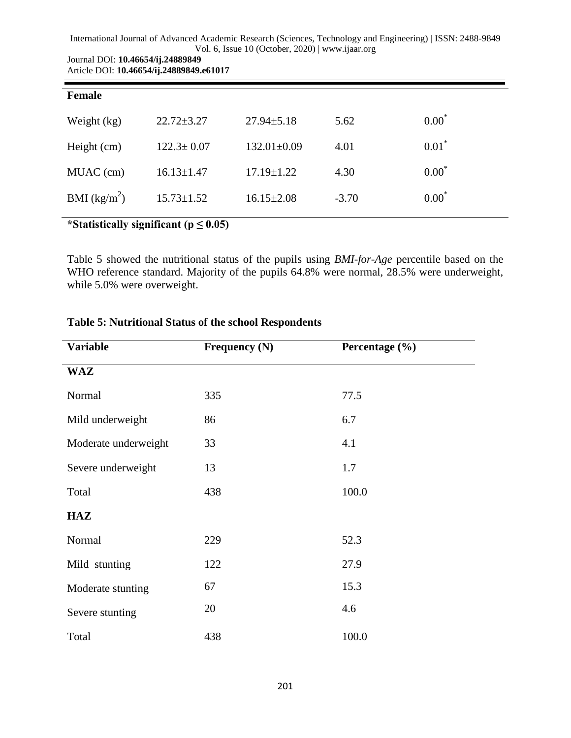| Journal DOI: 10.46654/ij.24889849        |
|------------------------------------------|
| Article DOI: 10.46654/ij.24889849.e61017 |

| Female         |                                           |                   |         |          |
|----------------|-------------------------------------------|-------------------|---------|----------|
| Weight (kg)    | $22.72 \pm 3.27$                          | $27.94 \pm 5.18$  | 5.62    | $0.00*$  |
| Height (cm)    | $122.3 \pm 0.07$                          | $132.01 \pm 0.09$ | 4.01    | $0.01^*$ |
| MUAC (cm)      | $16.13 \pm 1.47$                          | $17.19 \pm 1.22$  | 4.30    | $0.00*$  |
| BMI $(kg/m^2)$ | $15.73 \pm 1.52$                          | $16.15 \pm 2.08$  | $-3.70$ | $0.00*$  |
|                | *Statistically significant ( $n < 0.05$ ) |                   |         |          |

### **\*Statistically significant (p ≤ 0.05)**

Table 5 showed the nutritional status of the pupils using *BMI-for-Age* percentile based on the WHO reference standard. Majority of the pupils 64.8% were normal, 28.5% were underweight, while 5.0% were overweight.

| <b>Variable</b>      | Frequency (N) | Percentage $(\% )$ |  |
|----------------------|---------------|--------------------|--|
| <b>WAZ</b>           |               |                    |  |
| Normal               | 335           | 77.5               |  |
| Mild underweight     | 86            | 6.7                |  |
| Moderate underweight | 33            | 4.1                |  |
| Severe underweight   | 13            | 1.7                |  |
| Total                | 438           | 100.0              |  |
| <b>HAZ</b>           |               |                    |  |
| Normal               | 229           | 52.3               |  |
| Mild stunting        | 122           | 27.9               |  |
| Moderate stunting    | 67            | 15.3               |  |
| Severe stunting      | 20            | 4.6                |  |
| Total                | 438           | 100.0              |  |

# **Table 5: Nutritional Status of the school Respondents**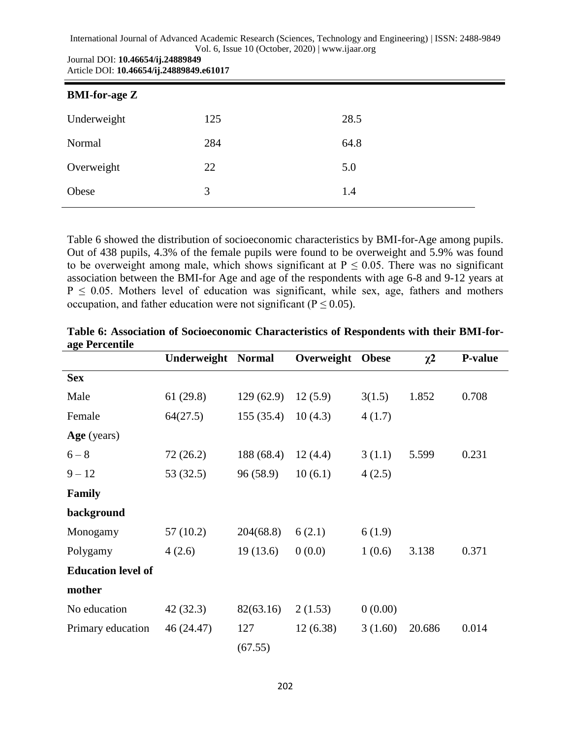| Journal DOI: 10.46654/ij.24889849        |
|------------------------------------------|
| Article DOI: 10.46654/ij.24889849.e61017 |

| <b>BMI-for-age Z</b> |     |      |  |
|----------------------|-----|------|--|
| Underweight          | 125 | 28.5 |  |
| Normal               | 284 | 64.8 |  |
| Overweight           | 22  | 5.0  |  |
| Obese                | 3   | 1.4  |  |

Table 6 showed the distribution of socioeconomic characteristics by BMI-for-Age among pupils. Out of 438 pupils, 4.3% of the female pupils were found to be overweight and 5.9% was found to be overweight among male, which shows significant at  $P \le 0.05$ . There was no significant association between the BMI-for Age and age of the respondents with age 6-8 and 9-12 years at  $P \le 0.05$ . Mothers level of education was significant, while sex, age, fathers and mothers occupation, and father education were not significant ( $P \le 0.05$ ).

|                           | <b>Underweight Normal</b> |            | Overweight | <b>Obese</b> | $\chi^2$ | <b>P-value</b> |
|---------------------------|---------------------------|------------|------------|--------------|----------|----------------|
| <b>Sex</b>                |                           |            |            |              |          |                |
| Male                      | 61(29.8)                  | 129(62.9)  | 12(5.9)    | 3(1.5)       | 1.852    | 0.708          |
| Female                    | 64(27.5)                  | 155(35.4)  | 10(4.3)    | 4(1.7)       |          |                |
| Age (years)               |                           |            |            |              |          |                |
| $6 - 8$                   | 72(26.2)                  | 188 (68.4) | 12(4.4)    | 3(1.1)       | 5.599    | 0.231          |
| $9 - 12$                  | 53 (32.5)                 | 96 (58.9)  | 10(6.1)    | 4(2.5)       |          |                |
| Family                    |                           |            |            |              |          |                |
| background                |                           |            |            |              |          |                |
| Monogamy                  | 57(10.2)                  | 204(68.8)  | 6(2.1)     | 6(1.9)       |          |                |
| Polygamy                  | 4(2.6)                    | 19(13.6)   | 0(0.0)     | 1(0.6)       | 3.138    | 0.371          |
| <b>Education level of</b> |                           |            |            |              |          |                |
| mother                    |                           |            |            |              |          |                |
| No education              | 42 (32.3)                 | 82(63.16)  | 2(1.53)    | 0(0.00)      |          |                |
| Primary education         | 46 (24.47)                | 127        | 12(6.38)   | 3(1.60)      | 20.686   | 0.014          |
|                           |                           | (67.55)    |            |              |          |                |

**Table 6: Association of Socioeconomic Characteristics of Respondents with their BMI-forage Percentile**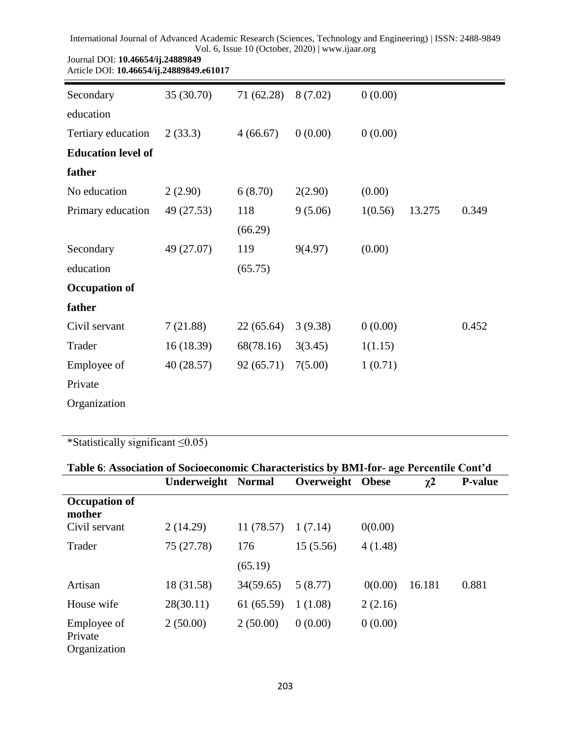| Article DOI: 10.46654/ij.24889849.e61017 |            |            |         |         |        |       |
|------------------------------------------|------------|------------|---------|---------|--------|-------|
| Secondary                                | 35 (30.70) | 71 (62.28) | 8(7.02) | 0(0.00) |        |       |
| education                                |            |            |         |         |        |       |
| Tertiary education                       | 2(33.3)    | 4(66.67)   | 0(0.00) | 0(0.00) |        |       |
| <b>Education level of</b>                |            |            |         |         |        |       |
| father                                   |            |            |         |         |        |       |
| No education                             | 2(2.90)    | 6(8.70)    | 2(2.90) | (0.00)  |        |       |
| Primary education                        | 49 (27.53) | 118        | 9(5.06) | 1(0.56) | 13.275 | 0.349 |
|                                          |            | (66.29)    |         |         |        |       |
| Secondary                                | 49 (27.07) | 119        | 9(4.97) | (0.00)  |        |       |
| education                                |            | (65.75)    |         |         |        |       |
| <b>Occupation of</b>                     |            |            |         |         |        |       |
| father                                   |            |            |         |         |        |       |
| Civil servant                            | 7(21.88)   | 22(65.64)  | 3(9.38) | 0(0.00) |        | 0.452 |
| Trader                                   | 16 (18.39) | 68(78.16)  | 3(3.45) | 1(1.15) |        |       |
| Employee of                              | 40 (28.57) | 92(65.71)  | 7(5.00) | 1(0.71) |        |       |
| Private                                  |            |            |         |         |        |       |
| Organization                             |            |            |         |         |        |       |

\*Statistically significant ≤0.05)

Journal DOI: **10.46654/ij.24889849**

| Table 6: Association of Socioeconomic Characteristics by BMI-for- age Percentile Cont'd |                           |            |                  |         |          |                |  |
|-----------------------------------------------------------------------------------------|---------------------------|------------|------------------|---------|----------|----------------|--|
|                                                                                         | <b>Underweight Normal</b> |            | Overweight Obese |         | $\chi^2$ | <b>P-value</b> |  |
| Occupation of<br>mother                                                                 |                           |            |                  |         |          |                |  |
| Civil servant                                                                           | 2(14.29)                  | 11(78.57)  | 1(7.14)          | 0(0.00) |          |                |  |
| Trader                                                                                  | 75 (27.78)                | 176        | 15(5.56)         | 4(1.48) |          |                |  |
|                                                                                         |                           | (65.19)    |                  |         |          |                |  |
| Artisan                                                                                 | 18 (31.58)                | 34(59.65)  | 5(8.77)          | 0(0.00) | 16.181   | 0.881          |  |
| House wife                                                                              | 28(30.11)                 | 61 (65.59) | 1(1.08)          | 2(2.16) |          |                |  |
| Employee of<br>Private<br>Organization                                                  | 2(50.00)                  | 2(50.00)   | 0(0.00)          | 0(0.00) |          |                |  |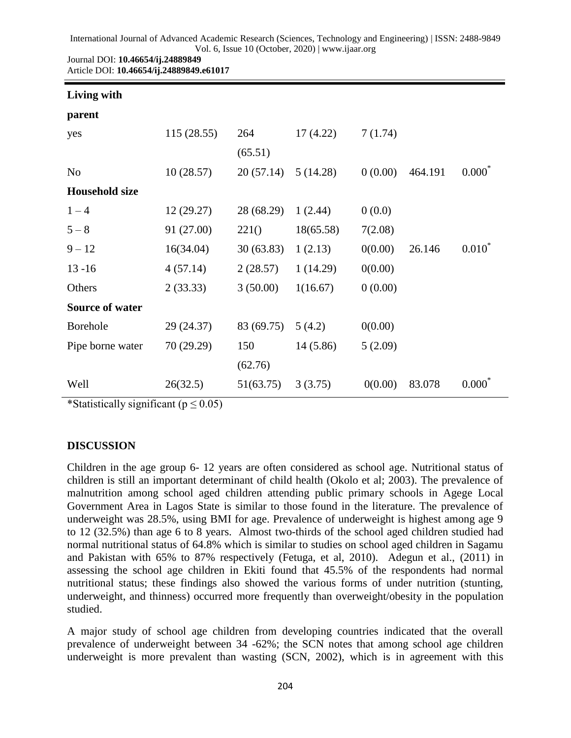| International Journal of Advanced Academic Research (Sciences, Technology and Engineering)   ISSN: 2488-9849 |  |
|--------------------------------------------------------------------------------------------------------------|--|
| Vol. 6, Issue 10 (October, 2020)   www.ijaar.org                                                             |  |

| Journal DOI: 10.46654/ij.24889849        |  |
|------------------------------------------|--|
| Article DOI: 10.46654/ij.24889849.e61017 |  |

| Living with            |            |            |           |         |         |           |
|------------------------|------------|------------|-----------|---------|---------|-----------|
| parent                 |            |            |           |         |         |           |
| yes                    | 115(28.55) | 264        | 17(4.22)  | 7(1.74) |         |           |
|                        |            | (65.51)    |           |         |         |           |
| N <sub>o</sub>         | 10(28.57)  | 20(57.14)  | 5(14.28)  | 0(0.00) | 464.191 | $0.000*$  |
| <b>Household size</b>  |            |            |           |         |         |           |
| $1 - 4$                | 12(29.27)  | 28 (68.29) | 1(2.44)   | 0(0.0)  |         |           |
| $5 - 8$                | 91 (27.00) | 221()      | 18(65.58) | 7(2.08) |         |           |
| $9 - 12$               | 16(34.04)  | 30(63.83)  | 1(2.13)   | 0(0.00) | 26.146  | $0.010^*$ |
| $13 - 16$              | 4(57.14)   | 2(28.57)   | 1(14.29)  | 0(0.00) |         |           |
| Others                 | 2(33.33)   | 3(50.00)   | 1(16.67)  | 0(0.00) |         |           |
| <b>Source of water</b> |            |            |           |         |         |           |
| <b>Borehole</b>        | 29 (24.37) | 83 (69.75) | 5(4.2)    | 0(0.00) |         |           |
| Pipe borne water       | 70 (29.29) | 150        | 14(5.86)  | 5(2.09) |         |           |
|                        |            | (62.76)    |           |         |         |           |
| Well                   | 26(32.5)   | 51(63.75)  | 3(3.75)   | 0(0.00) | 83.078  | 0.000     |

\*Statistically significant ( $p \le 0.05$ )

### **DISCUSSION**

Children in the age group 6- 12 years are often considered as school age. Nutritional status of children is still an important determinant of child health (Okolo et al; 2003). The prevalence of malnutrition among school aged children attending public primary schools in Agege Local Government Area in Lagos State is similar to those found in the literature. The prevalence of underweight was 28.5%, using BMI for age. Prevalence of underweight is highest among age 9 to 12 (32.5%) than age 6 to 8 years. Almost two-thirds of the school aged children studied had normal nutritional status of 64.8% which is similar to studies on school aged children in Sagamu and Pakistan with 65% to 87% respectively (Fetuga, et al, 2010). Adegun et al., (2011) in assessing the school age children in Ekiti found that 45.5% of the respondents had normal nutritional status; these findings also showed the various forms of under nutrition (stunting, underweight, and thinness) occurred more frequently than overweight/obesity in the population studied.

A major study of school age children from developing countries indicated that the overall prevalence of underweight between 34 -62%; the SCN notes that among school age children underweight is more prevalent than wasting (SCN, 2002), which is in agreement with this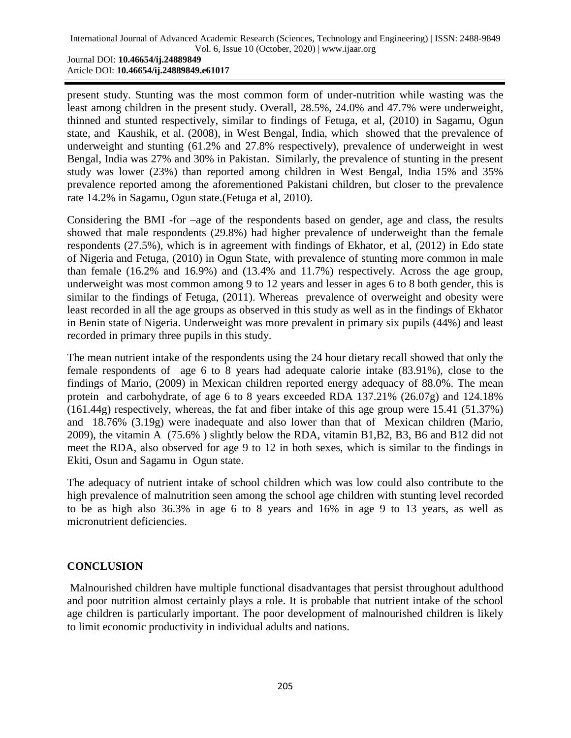present study. Stunting was the most common form of under-nutrition while wasting was the least among children in the present study. Overall, 28.5%, 24.0% and 47.7% were underweight, thinned and stunted respectively, similar to findings of Fetuga, et al, (2010) in Sagamu, Ogun state, and Kaushik, et al. (2008), in West Bengal, India, which showed that the prevalence of underweight and stunting (61.2% and 27.8% respectively), prevalence of underweight in west Bengal, India was 27% and 30% in Pakistan. Similarly, the prevalence of stunting in the present study was lower (23%) than reported among children in West Bengal, India 15% and 35% prevalence reported among the aforementioned Pakistani children, but closer to the prevalence rate 14.2% in Sagamu, Ogun state.(Fetuga et al, 2010).

Considering the BMI -for –age of the respondents based on gender, age and class, the results showed that male respondents (29.8%) had higher prevalence of underweight than the female respondents (27.5%), which is in agreement with findings of Ekhator, et al, (2012) in Edo state of Nigeria and Fetuga, (2010) in Ogun State, with prevalence of stunting more common in male than female (16.2% and 16.9%) and (13.4% and 11.7%) respectively. Across the age group, underweight was most common among 9 to 12 years and lesser in ages 6 to 8 both gender, this is similar to the findings of Fetuga, (2011). Whereas prevalence of overweight and obesity were least recorded in all the age groups as observed in this study as well as in the findings of Ekhator in Benin state of Nigeria. Underweight was more prevalent in primary six pupils (44%) and least recorded in primary three pupils in this study.

The mean nutrient intake of the respondents using the 24 hour dietary recall showed that only the female respondents of age 6 to 8 years had adequate calorie intake (83.91%), close to the findings of Mario, (2009) in Mexican children reported energy adequacy of 88.0%. The mean protein and carbohydrate, of age 6 to 8 years exceeded RDA 137.21% (26.07g) and 124.18% (161.44g) respectively, whereas, the fat and fiber intake of this age group were 15.41 (51.37%) and 18.76% (3.19g) were inadequate and also lower than that of Mexican children (Mario, 2009), the vitamin A (75.6% ) slightly below the RDA, vitamin B1,B2, B3, B6 and B12 did not meet the RDA, also observed for age 9 to 12 in both sexes, which is similar to the findings in Ekiti, Osun and Sagamu in Ogun state.

The adequacy of nutrient intake of school children which was low could also contribute to the high prevalence of malnutrition seen among the school age children with stunting level recorded to be as high also 36.3% in age 6 to 8 years and 16% in age 9 to 13 years, as well as micronutrient deficiencies.

# **CONCLUSION**

Malnourished children have multiple functional disadvantages that persist throughout adulthood and poor nutrition almost certainly plays a role. It is probable that nutrient intake of the school age children is particularly important. The poor development of malnourished children is likely to limit economic productivity in individual adults and nations.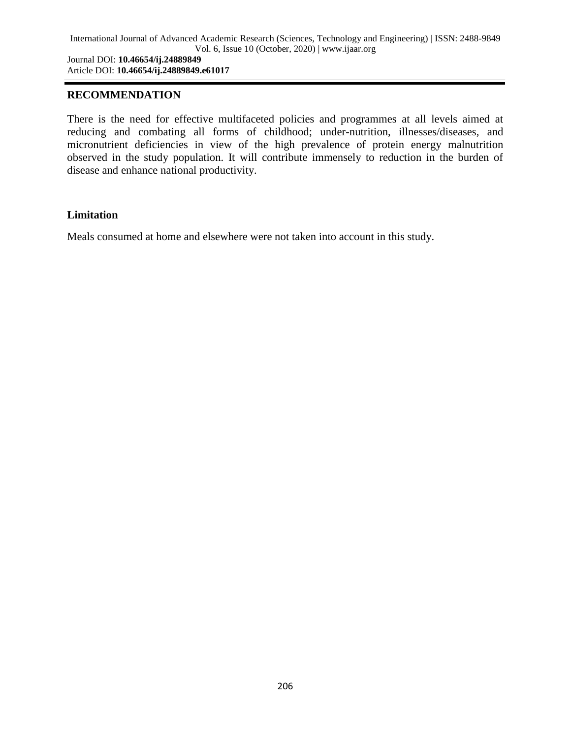### **RECOMMENDATION**

There is the need for effective multifaceted policies and programmes at all levels aimed at reducing and combating all forms of childhood; under-nutrition, illnesses/diseases, and micronutrient deficiencies in view of the high prevalence of protein energy malnutrition observed in the study population. It will contribute immensely to reduction in the burden of disease and enhance national productivity.

#### **Limitation**

Meals consumed at home and elsewhere were not taken into account in this study.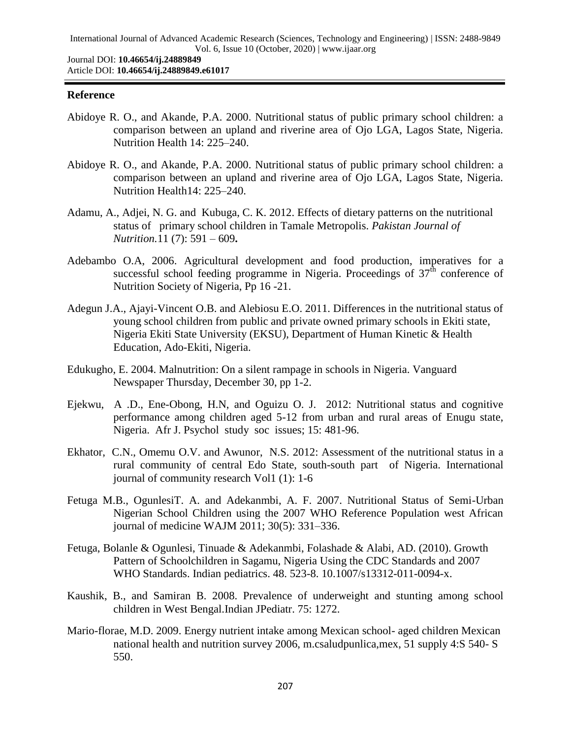### **Reference**

- Abidoye R. O., and Akande, P.A. 2000. Nutritional status of public primary school children: a comparison between an upland and riverine area of Ojo LGA, Lagos State, Nigeria. Nutrition Health 14: 225–240.
- Abidoye R. O., and Akande, P.A. 2000. Nutritional status of public primary school children: a comparison between an upland and riverine area of Ojo LGA, Lagos State, Nigeria. Nutrition Health14: 225–240.
- Adamu, A., Adjei, N. G. and Kubuga, C. K. 2012. Effects of dietary patterns on the nutritional status of primary school children in Tamale Metropolis. *Pakistan Journal of Nutrition.*11 (7): 591 – 609**.**
- Adebambo O.A, 2006. Agricultural development and food production, imperatives for a successful school feeding programme in Nigeria. Proceedings of  $37<sup>th</sup>$  conference of Nutrition Society of Nigeria, Pp 16 -21.
- Adegun J.A., Ajayi-Vincent O.B. and Alebiosu E.O. 2011. Differences in the nutritional status of young school children from public and private owned primary schools in Ekiti state, Nigeria Ekiti State University (EKSU), Department of Human Kinetic & Health Education, Ado-Ekiti, Nigeria.
- Edukugho, E. 2004. Malnutrition: On a silent rampage in schools in Nigeria. Vanguard Newspaper Thursday, December 30, pp 1-2.
- Ejekwu, A .D., Ene-Obong, H.N, and Oguizu O. J. 2012: Nutritional status and cognitive performance among children aged 5-12 from urban and rural areas of Enugu state, Nigeria. Afr J. Psychol study soc issues; 15: 481-96.
- Ekhator, C.N., Omemu O.V. and Awunor, N.S. 2012: Assessment of the nutritional status in a rural community of central Edo State, south-south part of Nigeria. International journal of community research Vol1 (1): 1-6
- Fetuga M.B., OgunlesiT. A. and Adekanmbi, A. F. 2007. Nutritional Status of Semi-Urban Nigerian School Children using the 2007 WHO Reference Population west African journal of medicine WAJM 2011; 30(5): 331–336.
- Fetuga, Bolanle & Ogunlesi, Tinuade & Adekanmbi, Folashade & Alabi, AD. (2010). Growth Pattern of Schoolchildren in Sagamu, Nigeria Using the CDC Standards and 2007 WHO Standards. Indian pediatrics. 48. 523-8. 10.1007/s13312-011-0094-x.
- Kaushik, B., and Samiran B. 2008. Prevalence of underweight and stunting among school children in West Bengal.Indian JPediatr. 75: 1272.
- Mario-florae, M.D. 2009. Energy nutrient intake among Mexican school- aged children Mexican national health and nutrition survey 2006, m.csaludpunlica,mex, 51 supply 4:S 540- S 550.